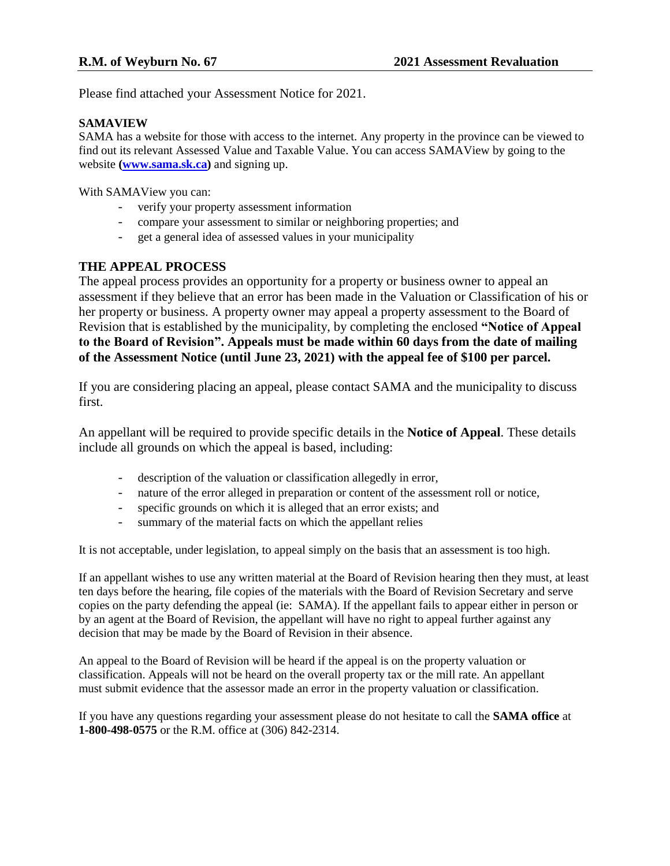Please find attached your Assessment Notice for 2021.

## **SAMAVIEW**

SAMA has a website for those with access to the internet. Any property in the province can be viewed to find out its relevant Assessed Value and Taxable Value. You can access SAMAView by going to the website **[\(www.sama.sk.ca\)](http://www.sama.sk.ca/)** and signing up.

With SAMAView you can:

- verify your property assessment information
- compare your assessment to similar or neighboring properties; and
- get a general idea of assessed values in your municipality

# **THE APPEAL PROCESS**

The appeal process provides an opportunity for a property or business owner to appeal an assessment if they believe that an error has been made in the Valuation or Classification of his or her property or business. A property owner may appeal a property assessment to the Board of Revision that is established by the municipality, by completing the enclosed **"Notice of Appeal to the Board of Revision". Appeals must be made within 60 days from the date of mailing of the Assessment Notice (until June 23, 2021) with the appeal fee of \$100 per parcel.**

If you are considering placing an appeal, please contact SAMA and the municipality to discuss first.

An appellant will be required to provide specific details in the **Notice of Appeal**. These details include all grounds on which the appeal is based, including:

- description of the valuation or classification allegedly in error,
- nature of the error alleged in preparation or content of the assessment roll or notice,
- specific grounds on which it is alleged that an error exists; and
- summary of the material facts on which the appellant relies

It is not acceptable, under legislation, to appeal simply on the basis that an assessment is too high.

If an appellant wishes to use any written material at the Board of Revision hearing then they must, at least ten days before the hearing, file copies of the materials with the Board of Revision Secretary and serve copies on the party defending the appeal (ie: SAMA). If the appellant fails to appear either in person or by an agent at the Board of Revision, the appellant will have no right to appeal further against any decision that may be made by the Board of Revision in their absence.

An appeal to the Board of Revision will be heard if the appeal is on the property valuation or classification. Appeals will not be heard on the overall property tax or the mill rate. An appellant must submit evidence that the assessor made an error in the property valuation or classification.

If you have any questions regarding your assessment please do not hesitate to call the **SAMA office** at **1-800-498-0575** or the R.M. office at (306) 842-2314.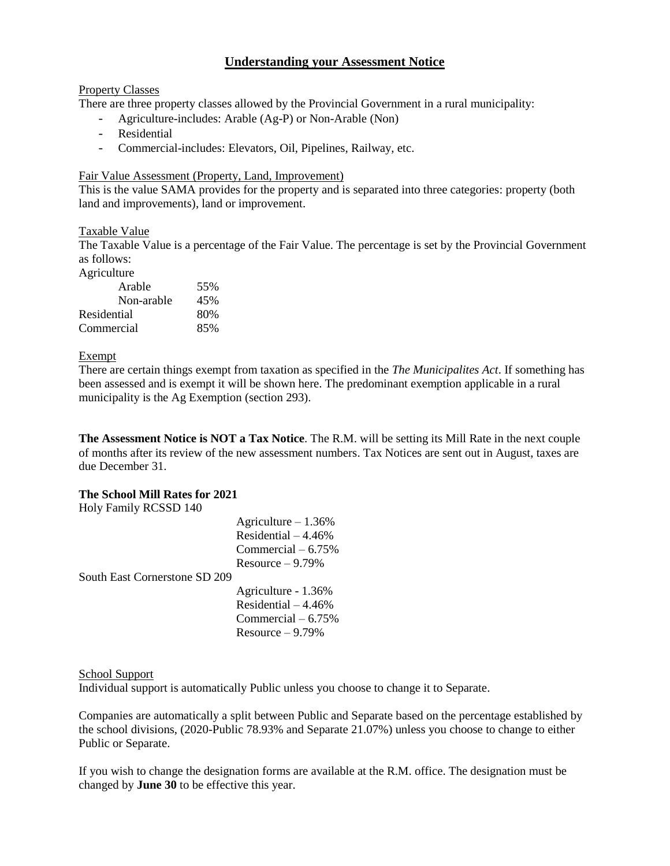# **Understanding your Assessment Notice**

#### Property Classes

There are three property classes allowed by the Provincial Government in a rural municipality:

- Agriculture-includes: Arable (Ag-P) or Non-Arable (Non)
- Residential
- Commercial-includes: Elevators, Oil, Pipelines, Railway, etc.

#### Fair Value Assessment (Property, Land, Improvement)

This is the value SAMA provides for the property and is separated into three categories: property (both land and improvements), land or improvement.

### Taxable Value

The Taxable Value is a percentage of the Fair Value. The percentage is set by the Provincial Government as follows:

Agriculture

| Arable      | 55% |
|-------------|-----|
| Non-arable  | 45% |
| Residential | 80% |
| Commercial  | 85% |

#### Exempt

There are certain things exempt from taxation as specified in the *The Municipalites Act*. If something has been assessed and is exempt it will be shown here. The predominant exemption applicable in a rural municipality is the Ag Exemption (section 293).

**The Assessment Notice is NOT a Tax Notice**. The R.M. will be setting its Mill Rate in the next couple of months after its review of the new assessment numbers. Tax Notices are sent out in August, taxes are due December 31.

#### **The School Mill Rates for 2021**

Holy Family RCSSD 140

| <b>THE UCCOUP THAT YIDD</b>   |                      |
|-------------------------------|----------------------|
|                               | Agriculture $-1.36%$ |
|                               | Residential $-4.46%$ |
|                               | Commercial $-6.75%$  |
|                               | Resource $-9.79%$    |
| South East Cornerstone SD 209 |                      |
|                               | Agriculture - 1.36%  |
|                               | Residential $-4.46%$ |
|                               | Commercial $-6.75%$  |
|                               | Resource $-9.79%$    |

#### School Support

Individual support is automatically Public unless you choose to change it to Separate.

Companies are automatically a split between Public and Separate based on the percentage established by the school divisions, (2020-Public 78.93% and Separate 21.07%) unless you choose to change to either Public or Separate.

If you wish to change the designation forms are available at the R.M. office. The designation must be changed by **June 30** to be effective this year.